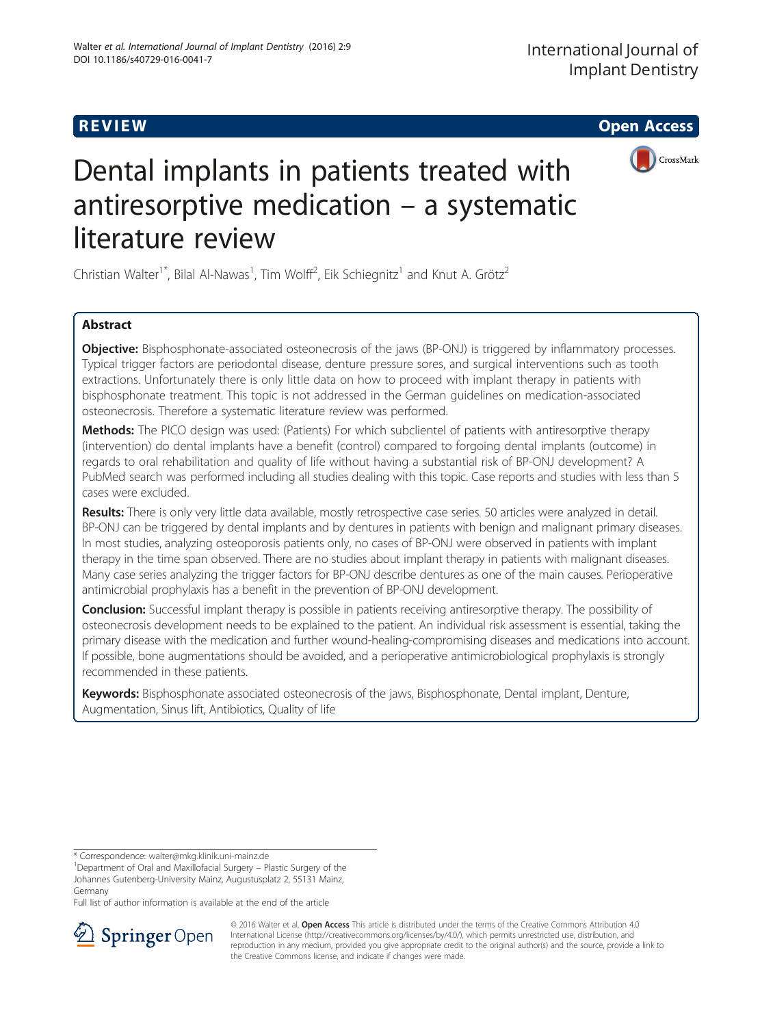



# Dental implants in patients treated with antiresorptive medication – a systematic literature review

Christian Walter<sup>1\*</sup>, Bilal Al-Nawas<sup>1</sup>, Tim Wolff<sup>2</sup>, Eik Schiegnitz<sup>1</sup> and Knut A. Grötz<sup>2</sup>

# Abstract

**Objective:** Bisphosphonate-associated osteonecrosis of the jaws (BP-ONJ) is triggered by inflammatory processes. Typical trigger factors are periodontal disease, denture pressure sores, and surgical interventions such as tooth extractions. Unfortunately there is only little data on how to proceed with implant therapy in patients with bisphosphonate treatment. This topic is not addressed in the German guidelines on medication-associated osteonecrosis. Therefore a systematic literature review was performed.

Methods: The PICO design was used: (Patients) For which subclientel of patients with antiresorptive therapy (intervention) do dental implants have a benefit (control) compared to forgoing dental implants (outcome) in regards to oral rehabilitation and quality of life without having a substantial risk of BP-ONJ development? A PubMed search was performed including all studies dealing with this topic. Case reports and studies with less than 5 cases were excluded.

Results: There is only very little data available, mostly retrospective case series. 50 articles were analyzed in detail. BP-ONJ can be triggered by dental implants and by dentures in patients with benign and malignant primary diseases. In most studies, analyzing osteoporosis patients only, no cases of BP-ONJ were observed in patients with implant therapy in the time span observed. There are no studies about implant therapy in patients with malignant diseases. Many case series analyzing the trigger factors for BP-ONJ describe dentures as one of the main causes. Perioperative antimicrobial prophylaxis has a benefit in the prevention of BP-ONJ development.

Conclusion: Successful implant therapy is possible in patients receiving antiresorptive therapy. The possibility of osteonecrosis development needs to be explained to the patient. An individual risk assessment is essential, taking the primary disease with the medication and further wound-healing-compromising diseases and medications into account. If possible, bone augmentations should be avoided, and a perioperative antimicrobiological prophylaxis is strongly recommended in these patients.

Keywords: Bisphosphonate associated osteonecrosis of the jaws, Bisphosphonate, Dental implant, Denture, Augmentation, Sinus lift, Antibiotics, Quality of life

\* Correspondence: [walter@mkg.klinik.uni-mainz.de](mailto:walter@mkg.klinik.uni-mainz.de) <sup>1</sup>

<sup>1</sup>Department of Oral and Maxillofacial Surgery – Plastic Surgery of the Johannes Gutenberg-University Mainz, Augustusplatz 2, 55131 Mainz, Germany

Full list of author information is available at the end of the article



© 2016 Walter et al. Open Access This article is distributed under the terms of the Creative Commons Attribution 4.0 International License ([http://creativecommons.org/licenses/by/4.0/\)](http://creativecommons.org/licenses/by/4.0/), which permits unrestricted use, distribution, and reproduction in any medium, provided you give appropriate credit to the original author(s) and the source, provide a link to the Creative Commons license, and indicate if changes were made.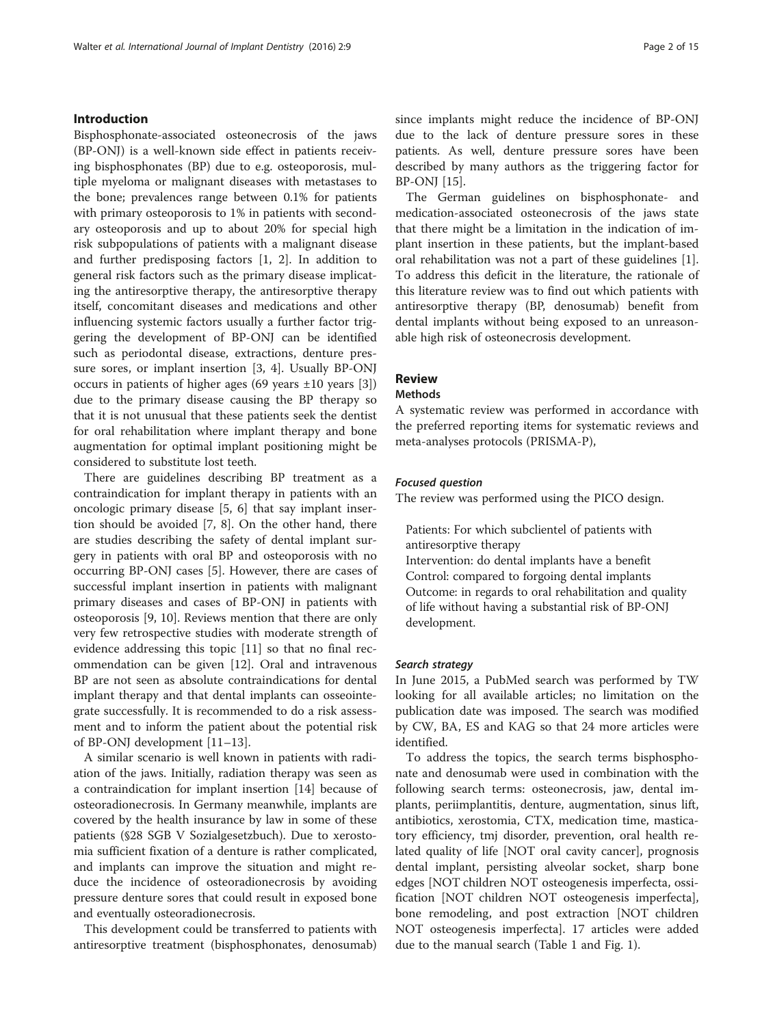## Introduction

Bisphosphonate-associated osteonecrosis of the jaws (BP-ONJ) is a well-known side effect in patients receiving bisphosphonates (BP) due to e.g. osteoporosis, multiple myeloma or malignant diseases with metastases to the bone; prevalences range between 0.1% for patients with primary osteoporosis to 1% in patients with secondary osteoporosis and up to about 20% for special high risk subpopulations of patients with a malignant disease and further predisposing factors [[1](#page-12-0), [2\]](#page-12-0). In addition to general risk factors such as the primary disease implicating the antiresorptive therapy, the antiresorptive therapy itself, concomitant diseases and medications and other influencing systemic factors usually a further factor triggering the development of BP-ONJ can be identified such as periodontal disease, extractions, denture pressure sores, or implant insertion [[3](#page-12-0), [4\]](#page-12-0). Usually BP-ONJ occurs in patients of higher ages (69 years  $\pm 10$  years [\[3](#page-12-0)]) due to the primary disease causing the BP therapy so that it is not unusual that these patients seek the dentist for oral rehabilitation where implant therapy and bone augmentation for optimal implant positioning might be considered to substitute lost teeth.

There are guidelines describing BP treatment as a contraindication for implant therapy in patients with an oncologic primary disease [[5, 6\]](#page-12-0) that say implant insertion should be avoided [\[7](#page-12-0), [8](#page-12-0)]. On the other hand, there are studies describing the safety of dental implant surgery in patients with oral BP and osteoporosis with no occurring BP-ONJ cases [\[5](#page-12-0)]. However, there are cases of successful implant insertion in patients with malignant primary diseases and cases of BP-ONJ in patients with osteoporosis [[9, 10\]](#page-12-0). Reviews mention that there are only very few retrospective studies with moderate strength of evidence addressing this topic [[11\]](#page-12-0) so that no final recommendation can be given [[12](#page-12-0)]. Oral and intravenous BP are not seen as absolute contraindications for dental implant therapy and that dental implants can osseointegrate successfully. It is recommended to do a risk assessment and to inform the patient about the potential risk of BP-ONJ development [\[11](#page-12-0)–[13\]](#page-13-0).

A similar scenario is well known in patients with radiation of the jaws. Initially, radiation therapy was seen as a contraindication for implant insertion [[14\]](#page-13-0) because of osteoradionecrosis. In Germany meanwhile, implants are covered by the health insurance by law in some of these patients (§28 SGB V Sozialgesetzbuch). Due to xerostomia sufficient fixation of a denture is rather complicated, and implants can improve the situation and might reduce the incidence of osteoradionecrosis by avoiding pressure denture sores that could result in exposed bone and eventually osteoradionecrosis.

This development could be transferred to patients with antiresorptive treatment (bisphosphonates, denosumab) since implants might reduce the incidence of BP-ONJ due to the lack of denture pressure sores in these patients. As well, denture pressure sores have been described by many authors as the triggering factor for BP-ONJ [[15\]](#page-13-0).

The German guidelines on bisphosphonate- and medication-associated osteonecrosis of the jaws state that there might be a limitation in the indication of implant insertion in these patients, but the implant-based oral rehabilitation was not a part of these guidelines [\[1](#page-12-0)]. To address this deficit in the literature, the rationale of this literature review was to find out which patients with antiresorptive therapy (BP, denosumab) benefit from dental implants without being exposed to an unreasonable high risk of osteonecrosis development.

#### Review

#### **Methods**

A systematic review was performed in accordance with the preferred reporting items for systematic reviews and meta-analyses protocols (PRISMA-P),

#### Focused question

The review was performed using the PICO design.

Patients: For which subclientel of patients with antiresorptive therapy Intervention: do dental implants have a benefit Control: compared to forgoing dental implants Outcome: in regards to oral rehabilitation and quality of life without having a substantial risk of BP-ONJ development.

#### Search strategy

In June 2015, a PubMed search was performed by TW looking for all available articles; no limitation on the publication date was imposed. The search was modified by CW, BA, ES and KAG so that 24 more articles were identified.

To address the topics, the search terms bisphosphonate and denosumab were used in combination with the following search terms: osteonecrosis, jaw, dental implants, periimplantitis, denture, augmentation, sinus lift, antibiotics, xerostomia, CTX, medication time, masticatory efficiency, tmj disorder, prevention, oral health related quality of life [NOT oral cavity cancer], prognosis dental implant, persisting alveolar socket, sharp bone edges [NOT children NOT osteogenesis imperfecta, ossification [NOT children NOT osteogenesis imperfecta], bone remodeling, and post extraction [NOT children NOT osteogenesis imperfecta]. 17 articles were added due to the manual search (Table [1](#page-2-0) and Fig. [1](#page-2-0)).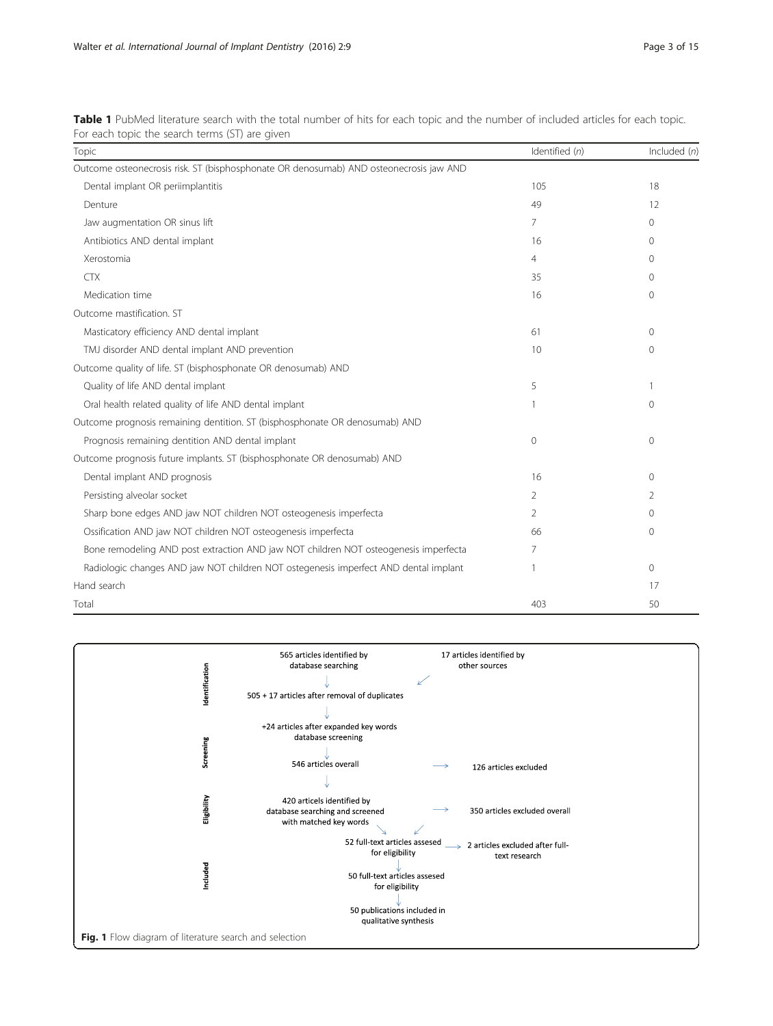| Topic                                                                                  | Identified (n) | Included $(n)$ |
|----------------------------------------------------------------------------------------|----------------|----------------|
| Outcome osteonecrosis risk. ST (bisphosphonate OR denosumab) AND osteonecrosis jaw AND |                |                |
| Dental implant OR periimplantitis                                                      | 105            | 18             |
| Denture                                                                                | 49             | 12             |
| Jaw augmentation OR sinus lift                                                         | 7              | 0              |
| Antibiotics AND dental implant                                                         | 16             | 0              |
| Xerostomia                                                                             | $\overline{4}$ | $\circ$        |
| <b>CTX</b>                                                                             | 35             | 0              |
| Medication time                                                                        | 16             | $\Omega$       |
| Outcome mastification. ST                                                              |                |                |
| Masticatory efficiency AND dental implant                                              | 61             | $\Omega$       |
| TMJ disorder AND dental implant AND prevention                                         | 10             | 0              |
| Outcome quality of life. ST (bisphosphonate OR denosumab) AND                          |                |                |
| Quality of life AND dental implant                                                     | 5              | 1              |
| Oral health related quality of life AND dental implant                                 |                | 0              |
| Outcome prognosis remaining dentition. ST (bisphosphonate OR denosumab) AND            |                |                |
| Prognosis remaining dentition AND dental implant                                       | $\Omega$       | $\Omega$       |
| Outcome prognosis future implants. ST (bisphosphonate OR denosumab) AND                |                |                |
| Dental implant AND prognosis                                                           | 16             | $\circ$        |
| Persisting alveolar socket                                                             | $\overline{2}$ | 2              |
| Sharp bone edges AND jaw NOT children NOT osteogenesis imperfecta                      | $\overline{2}$ | 0              |
| Ossification AND jaw NOT children NOT osteogenesis imperfecta                          | 66             | $\Omega$       |
| Bone remodeling AND post extraction AND jaw NOT children NOT osteogenesis imperfecta   | 7              |                |
| Radiologic changes AND jaw NOT children NOT ostegenesis imperfect AND dental implant   |                | $\Omega$       |
| Hand search                                                                            |                | 17             |
| Total                                                                                  | 403            | 50             |

<span id="page-2-0"></span>Table 1 PubMed literature search with the total number of hits for each topic and the number of included articles for each topic. For each topic the search terms (ST) are given

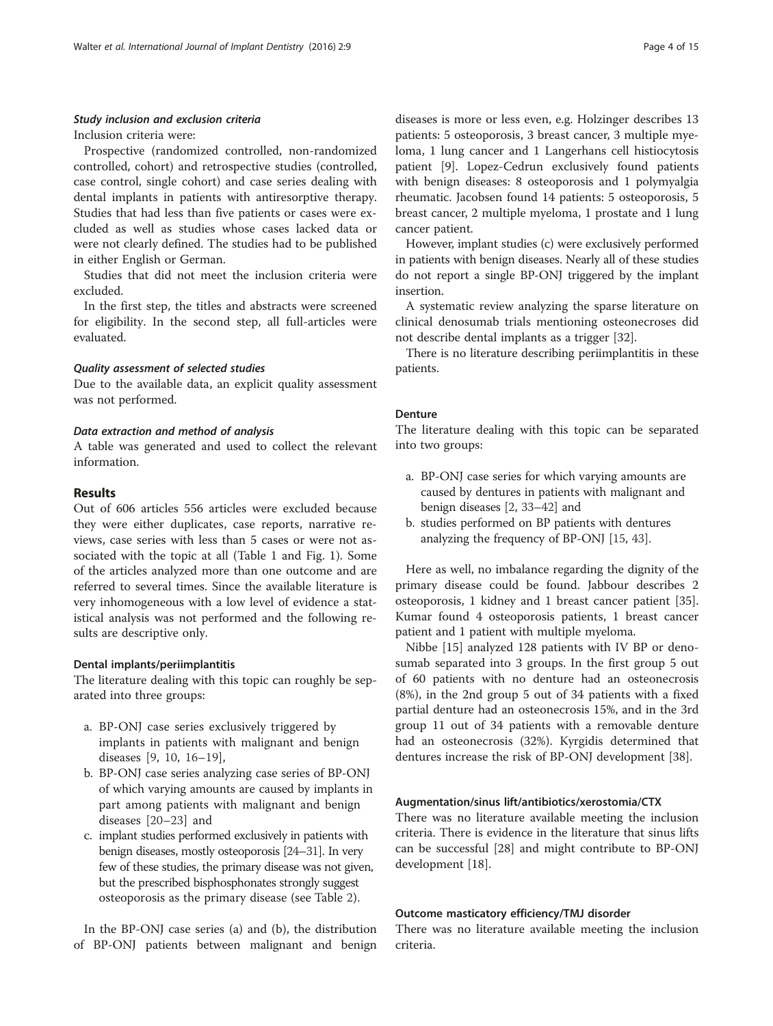# Study inclusion and exclusion criteria

Inclusion criteria were:

Prospective (randomized controlled, non-randomized controlled, cohort) and retrospective studies (controlled, case control, single cohort) and case series dealing with dental implants in patients with antiresorptive therapy. Studies that had less than five patients or cases were excluded as well as studies whose cases lacked data or were not clearly defined. The studies had to be published in either English or German.

Studies that did not meet the inclusion criteria were excluded.

In the first step, the titles and abstracts were screened for eligibility. In the second step, all full-articles were evaluated.

#### Quality assessment of selected studies

Due to the available data, an explicit quality assessment was not performed.

#### Data extraction and method of analysis

A table was generated and used to collect the relevant information.

#### Results

Out of 606 articles 556 articles were excluded because they were either duplicates, case reports, narrative reviews, case series with less than 5 cases or were not associated with the topic at all (Table [1](#page-2-0) and Fig. [1\)](#page-2-0). Some of the articles analyzed more than one outcome and are referred to several times. Since the available literature is very inhomogeneous with a low level of evidence a statistical analysis was not performed and the following results are descriptive only.

#### Dental implants/periimplantitis

The literature dealing with this topic can roughly be separated into three groups:

- a. BP-ONJ case series exclusively triggered by implants in patients with malignant and benign diseases [[9,](#page-12-0) [10,](#page-12-0) [16](#page-13-0)–[19](#page-13-0)],
- b. BP-ONJ case series analyzing case series of BP-ONJ of which varying amounts are caused by implants in part among patients with malignant and benign diseases [[20](#page-13-0)–[23](#page-13-0)] and
- c. implant studies performed exclusively in patients with benign diseases, mostly osteoporosis [\[24](#page-13-0)–[31](#page-13-0)]. In very few of these studies, the primary disease was not given, but the prescribed bisphosphonates strongly suggest osteoporosis as the primary disease (see Table [2](#page-4-0)).

In the BP-ONJ case series (a) and (b), the distribution of BP-ONJ patients between malignant and benign diseases is more or less even, e.g. Holzinger describes 13 patients: 5 osteoporosis, 3 breast cancer, 3 multiple myeloma, 1 lung cancer and 1 Langerhans cell histiocytosis patient [[9\]](#page-12-0). Lopez-Cedrun exclusively found patients with benign diseases: 8 osteoporosis and 1 polymyalgia rheumatic. Jacobsen found 14 patients: 5 osteoporosis, 5 breast cancer, 2 multiple myeloma, 1 prostate and 1 lung cancer patient.

However, implant studies (c) were exclusively performed in patients with benign diseases. Nearly all of these studies do not report a single BP-ONJ triggered by the implant insertion.

A systematic review analyzing the sparse literature on clinical denosumab trials mentioning osteonecroses did not describe dental implants as a trigger [[32\]](#page-13-0).

There is no literature describing periimplantitis in these patients.

#### Denture

The literature dealing with this topic can be separated into two groups:

- a. BP-ONJ case series for which varying amounts are caused by dentures in patients with malignant and benign diseases [[2,](#page-12-0) [33](#page-13-0)–[42](#page-13-0)] and
- b. studies performed on BP patients with dentures analyzing the frequency of BP-ONJ [\[15](#page-13-0), [43\]](#page-13-0).

Here as well, no imbalance regarding the dignity of the primary disease could be found. Jabbour describes 2 osteoporosis, 1 kidney and 1 breast cancer patient [\[35](#page-13-0)]. Kumar found 4 osteoporosis patients, 1 breast cancer patient and 1 patient with multiple myeloma.

Nibbe [[15\]](#page-13-0) analyzed 128 patients with IV BP or denosumab separated into 3 groups. In the first group 5 out of 60 patients with no denture had an osteonecrosis (8%), in the 2nd group 5 out of 34 patients with a fixed partial denture had an osteonecrosis 15%, and in the 3rd group 11 out of 34 patients with a removable denture had an osteonecrosis (32%). Kyrgidis determined that dentures increase the risk of BP-ONJ development [[38](#page-13-0)].

#### Augmentation/sinus lift/antibiotics/xerostomia/CTX

There was no literature available meeting the inclusion criteria. There is evidence in the literature that sinus lifts can be successful [[28\]](#page-13-0) and might contribute to BP-ONJ development [[18](#page-13-0)].

# Outcome masticatory efficiency/TMJ disorder

There was no literature available meeting the inclusion criteria.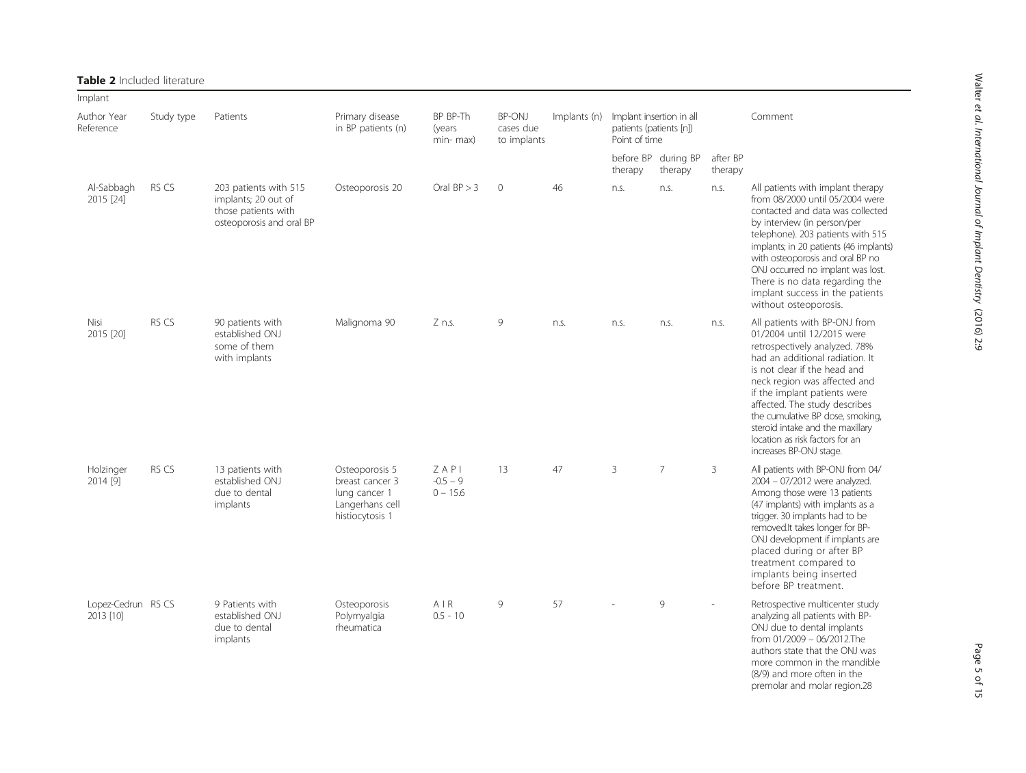<span id="page-4-0"></span>

| Implant                         |            |                                                                                                 |                                                                                          |                                  |                                    |              |                                                                      |                                |                     |                                                                                                                                                                                                                                                                                                                                                                                                        |
|---------------------------------|------------|-------------------------------------------------------------------------------------------------|------------------------------------------------------------------------------------------|----------------------------------|------------------------------------|--------------|----------------------------------------------------------------------|--------------------------------|---------------------|--------------------------------------------------------------------------------------------------------------------------------------------------------------------------------------------------------------------------------------------------------------------------------------------------------------------------------------------------------------------------------------------------------|
| Author Year<br>Reference        | Study type | Patients                                                                                        | Primary disease<br>in BP patients (n)                                                    | BP BP-Th<br>(years)<br>min- max) | BP-ONJ<br>cases due<br>to implants | Implants (n) | Implant insertion in all<br>patients (patients [n])<br>Point of time |                                |                     | Comment                                                                                                                                                                                                                                                                                                                                                                                                |
|                                 |            |                                                                                                 |                                                                                          |                                  |                                    |              | therapy                                                              | before BP during BP<br>therapy | after BP<br>therapy |                                                                                                                                                                                                                                                                                                                                                                                                        |
| Al-Sabbagh<br>2015 [24]         | RS CS      | 203 patients with 515<br>implants; 20 out of<br>those patients with<br>osteoporosis and oral BP | Osteoporosis 20                                                                          | Oral $BP > 3$                    | $\circ$                            | 46           | n.s.                                                                 | n.s.                           | n.s.                | All patients with implant therapy<br>from 08/2000 until 05/2004 were<br>contacted and data was collected<br>by interview (in person/per<br>telephone). 203 patients with 515<br>implants; in 20 patients (46 implants)<br>with osteoporosis and oral BP no<br>ONJ occurred no implant was lost.<br>There is no data regarding the<br>implant success in the patients<br>without osteoporosis.          |
| Nisi<br>2015 [20]               | RS CS      | 90 patients with<br>established ONJ<br>some of them<br>with implants                            | Malignoma 90                                                                             | $Z$ n.s.                         | 9                                  | n.s.         | n.s.                                                                 | n.s.                           | n.s.                | All patients with BP-ONJ from<br>01/2004 until 12/2015 were<br>retrospectively analyzed. 78%<br>had an additional radiation. It<br>is not clear if the head and<br>neck region was affected and<br>if the implant patients were<br>affected. The study describes<br>the cumulative BP dose, smoking,<br>steroid intake and the maxillary<br>location as risk factors for an<br>increases BP-ONJ stage. |
| Holzinger<br>2014 [9]           | RS CS      | 13 patients with<br>established ONJ<br>due to dental<br>implants                                | Osteoporosis 5<br>breast cancer 3<br>lung cancer 1<br>Langerhans cell<br>histiocytosis 1 | ZAP<br>$-0.5 - 9$<br>$0 - 15.6$  | 13                                 | 47           | 3                                                                    | $\overline{7}$                 | $\mathsf{3}$        | All patients with BP-ONJ from 04/<br>2004 - 07/2012 were analyzed.<br>Among those were 13 patients<br>(47 implants) with implants as a<br>trigger. 30 implants had to be<br>removed.It takes longer for BP-<br>ONJ development if implants are<br>placed during or after BP<br>treatment compared to<br>implants being inserted<br>before BP treatment.                                                |
| Lopez-Cedrun RS CS<br>2013 [10] |            | 9 Patients with<br>established ONJ<br>due to dental<br>implants                                 | Osteoporosis<br>Polymyalgia<br>rheumatica                                                | $A$   R<br>$0.5 - 10$            | 9                                  | 57           |                                                                      | 9                              |                     | Retrospective multicenter study<br>analyzing all patients with BP-<br>ONJ due to dental implants<br>from 01/2009 - 06/2012.The<br>authors state that the ONJ was<br>more common in the mandible<br>(8/9) and more often in the<br>premolar and molar region.28                                                                                                                                         |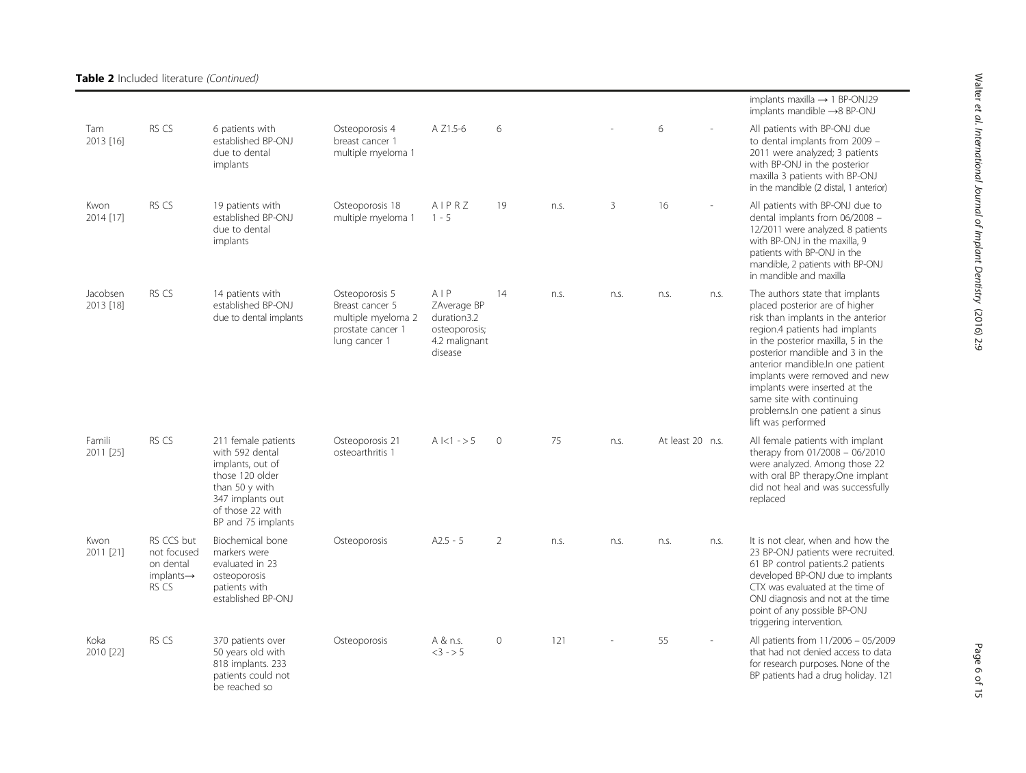|                       |                                                                           |                                                                                                                                                               |                                                                                               |                                                                                      |                |      |                |                  |      | implants maxilla $\rightarrow$ 1 BP-ONJ29<br>implants mandible $\rightarrow$ 8 BP-ONJ                                                                                                                                                                                                                                                                                                                          |
|-----------------------|---------------------------------------------------------------------------|---------------------------------------------------------------------------------------------------------------------------------------------------------------|-----------------------------------------------------------------------------------------------|--------------------------------------------------------------------------------------|----------------|------|----------------|------------------|------|----------------------------------------------------------------------------------------------------------------------------------------------------------------------------------------------------------------------------------------------------------------------------------------------------------------------------------------------------------------------------------------------------------------|
| Tam<br>2013 [16]      | RS CS                                                                     | 6 patients with<br>established BP-ONJ<br>due to dental<br>implants                                                                                            | Osteoporosis 4<br>breast cancer 1<br>multiple myeloma 1                                       | A Z1.5-6                                                                             | 6              |      |                | 6                |      | All patients with BP-ONJ due<br>to dental implants from 2009 -<br>2011 were analyzed; 3 patients<br>with BP-ONJ in the posterior<br>maxilla 3 patients with BP-ONJ<br>in the mandible (2 distal, 1 anterior)                                                                                                                                                                                                   |
| Kwon<br>2014 [17]     | RS CS                                                                     | 19 patients with<br>established BP-ONJ<br>due to dental<br>implants                                                                                           | Osteoporosis 18<br>multiple myeloma 1                                                         | AIPRZ<br>$1 - 5$                                                                     | 19             | n.s. | $\overline{3}$ | 16               |      | All patients with BP-ONJ due to<br>dental implants from 06/2008 -<br>12/2011 were analyzed. 8 patients<br>with BP-ONJ in the maxilla, 9<br>patients with BP-ONJ in the<br>mandible, 2 patients with BP-ONJ<br>in mandible and maxilla                                                                                                                                                                          |
| Jacobsen<br>2013 [18] | RS CS                                                                     | 14 patients with<br>established BP-ONJ<br>due to dental implants                                                                                              | Osteoporosis 5<br>Breast cancer 5<br>multiple myeloma 2<br>prostate cancer 1<br>lung cancer 1 | $A$   $P$<br>ZAverage BP<br>duration3.2<br>osteoporosis;<br>4.2 malignant<br>disease | 14             | n.s. | n.s.           | n.s.             | n.s. | The authors state that implants<br>placed posterior are of higher<br>risk than implants in the anterior<br>region.4 patients had implants<br>in the posterior maxilla, 5 in the<br>posterior mandible and 3 in the<br>anterior mandible.In one patient<br>implants were removed and new<br>implants were inserted at the<br>same site with continuing<br>problems.In one patient a sinus<br>lift was performed |
| Famili<br>2011 [25]   | RS CS                                                                     | 211 female patients<br>with 592 dental<br>implants, out of<br>those 120 older<br>than 50 y with<br>347 implants out<br>of those 22 with<br>BP and 75 implants | Osteoporosis 21<br>osteoarthritis 1                                                           | $A$ $ <1 - > 5$                                                                      | $\mathbf{0}$   | 75   | n.s.           | At least 20 n.s. |      | All female patients with implant<br>therapy from 01/2008 - 06/2010<br>were analyzed. Among those 22<br>with oral BP therapy.One implant<br>did not heal and was successfully<br>replaced                                                                                                                                                                                                                       |
| Kwon<br>2011 [21]     | RS CCS but<br>not focused<br>on dental<br>$implants \rightarrow$<br>RS CS | Biochemical bone<br>markers were<br>evaluated in 23<br>osteoporosis<br>patients with<br>established BP-ONJ                                                    | Osteoporosis                                                                                  | $A2.5 - 5$                                                                           | $\overline{2}$ | n.s. | n.s.           | n.s.             | n.s. | It is not clear, when and how the<br>23 BP-ONJ patients were recruited.<br>61 BP control patients.2 patients<br>developed BP-ONJ due to implants<br>CTX was evaluated at the time of<br>ONJ diagnosis and not at the time<br>point of any possible BP-ONJ<br>triggering intervention.                                                                                                                          |
| Koka<br>2010 [22]     | RS CS                                                                     | 370 patients over<br>50 years old with<br>818 implants. 233<br>patients could not<br>be reached so                                                            | Osteoporosis                                                                                  | A & n.s.<br>$<3 - 5$                                                                 | $\mathbf{0}$   | 121  |                | 55               |      | All patients from 11/2006 - 05/2009<br>that had not denied access to data<br>for research purposes. None of the<br>BP patients had a drug holiday. 121                                                                                                                                                                                                                                                         |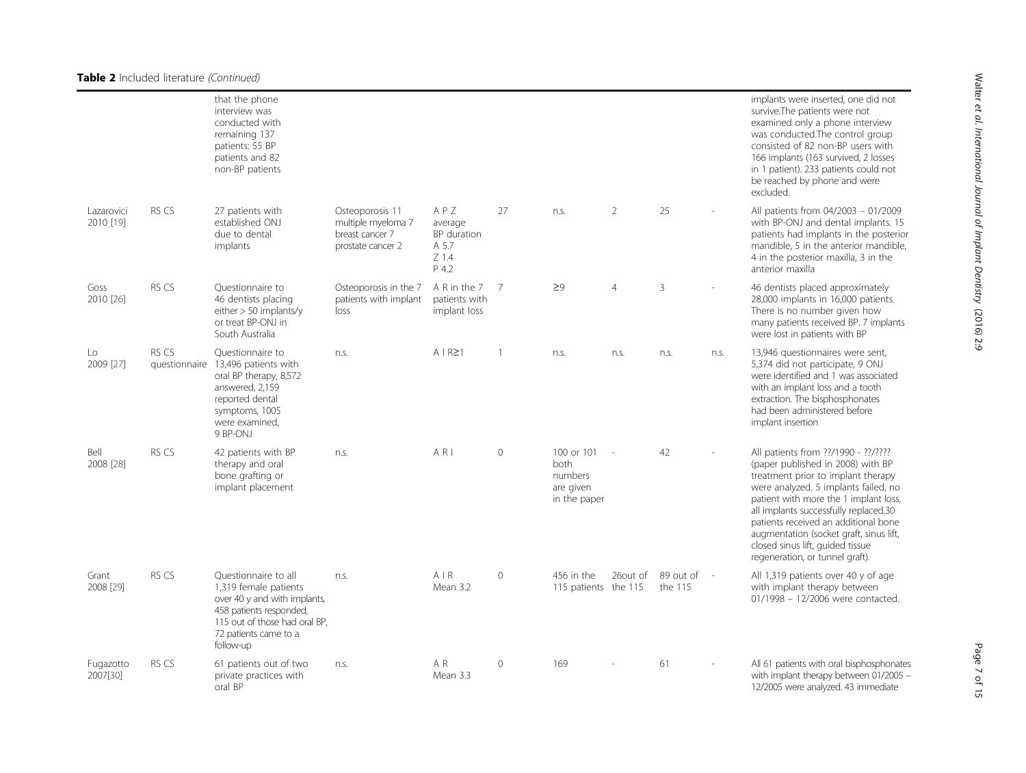|                         |       | that the phone<br>interview was<br>conducted with<br>remaining 137<br>patients: 55 BP<br>patients and 82<br>non-BP patients                                                     |                                                                               |                                                            |                |                                                            |                |                      |        | implants were inserted, one did not<br>survive. The patients were not<br>examined only a phone interview<br>was conducted. The control group<br>consisted of 82 non-BP users with<br>166 implants (163 survived, 2 losses<br>in 1 patient). 233 patients could not<br>be reached by phone and were<br>excluded.                                                                                    |
|-------------------------|-------|---------------------------------------------------------------------------------------------------------------------------------------------------------------------------------|-------------------------------------------------------------------------------|------------------------------------------------------------|----------------|------------------------------------------------------------|----------------|----------------------|--------|----------------------------------------------------------------------------------------------------------------------------------------------------------------------------------------------------------------------------------------------------------------------------------------------------------------------------------------------------------------------------------------------------|
| Lazarovici<br>2010 [19] | RS CS | 27 patients with<br>established ONJ<br>due to dental<br>implants                                                                                                                | Osteoporosis 11<br>multiple myeloma 7<br>breast cancer 7<br>prostate cancer 2 | APZ<br>average<br>BP duration<br>A 5.7<br>$Z$ 1.4<br>P 4.2 | 27             | n.s.                                                       | $\overline{2}$ | 25                   |        | All patients from 04/2003 - 01/2009<br>with BP-ONJ and dental implants. 15<br>patients had implants in the posterior<br>mandible, 5 in the anterior mandible,<br>4 in the posterior maxilla, 3 in the<br>anterior maxilla                                                                                                                                                                          |
| Goss<br>2010 [26]       | RS CS | Ouestionnaire to<br>46 dentists placing<br>either > 50 implants/y<br>or treat BP-ONJ in<br>South Australia                                                                      | Osteoporosis in the 7<br>patients with implant<br>loss                        | A R in the 7<br>patients with<br>implant loss              | $\overline{7}$ | $\geq$ 9                                                   | $\overline{4}$ | 3                    |        | 46 dentists placed approximately<br>28,000 implants in 16,000 patients.<br>There is no number given how<br>many patients received BP. 7 implants<br>were lost in patients with BP                                                                                                                                                                                                                  |
| Lo<br>2009 [27]         | RS CS | Ouestionnaire to<br>questionnaire 13,496 patients with<br>oral BP therapy, 8,572<br>answered, 2,159<br>reported dental<br>symptoms, 1005<br>were examined,<br>9 BP-ONJ          | n.s.                                                                          | $A$   R $\geq$ 1                                           | $\mathbf{1}$   | n.s.                                                       | n.s.           | n.s.                 | n.s.   | 13,946 questionnaires were sent,<br>5,374 did not participate, 9 ONJ<br>were identified and 1 was associated<br>with an implant loss and a tooth<br>extraction. The bisphosphonates<br>had been administered before<br>implant insertion                                                                                                                                                           |
| Bell<br>2008 [28]       | RS CS | 42 patients with BP<br>therapy and oral<br>bone grafting or<br>implant placement                                                                                                | n.s.                                                                          | ARI                                                        | $\mathbb O$    | 100 or 101<br>both<br>numbers<br>are given<br>in the paper |                | 42                   |        | All patients from ??/1990 - ??/????<br>(paper published in 2008) with BP<br>treatment prior to implant therapy<br>were analyzed. 5 implants failed, no<br>patient with more the 1 implant loss,<br>all implants successfully replaced.30<br>patients received an additional bone<br>augmentation (socket graft, sinus lift,<br>closed sinus lift, guided tissue<br>regeneration, or tunnel graft). |
| Grant<br>2008 [29]      | RS CS | Questionnaire to all<br>1,319 female patients<br>over 40 y and with implants,<br>458 patients responded,<br>115 out of those had oral BP,<br>72 patients came to a<br>follow-up | n.s.                                                                          | $A$   R<br>Mean 3.2                                        | $\mathbb O$    | 456 in the<br>115 patients the 115                         | 26out of       | 89 out of<br>the 115 | $\sim$ | All 1,319 patients over 40 y of age<br>with implant therapy between<br>01/1998 - 12/2006 were contacted.                                                                                                                                                                                                                                                                                           |
| Fugazotto<br>2007[30]   | RS CS | 61 patients out of two<br>private practices with<br>oral BP                                                                                                                     | n.s.                                                                          | A R<br>Mean 3.3                                            | $\circ$        | 169                                                        |                | 61                   |        | All 61 patients with oral bisphosphonates<br>with implant therapy between 01/2005 -<br>12/2005 were analyzed. 43 immediate                                                                                                                                                                                                                                                                         |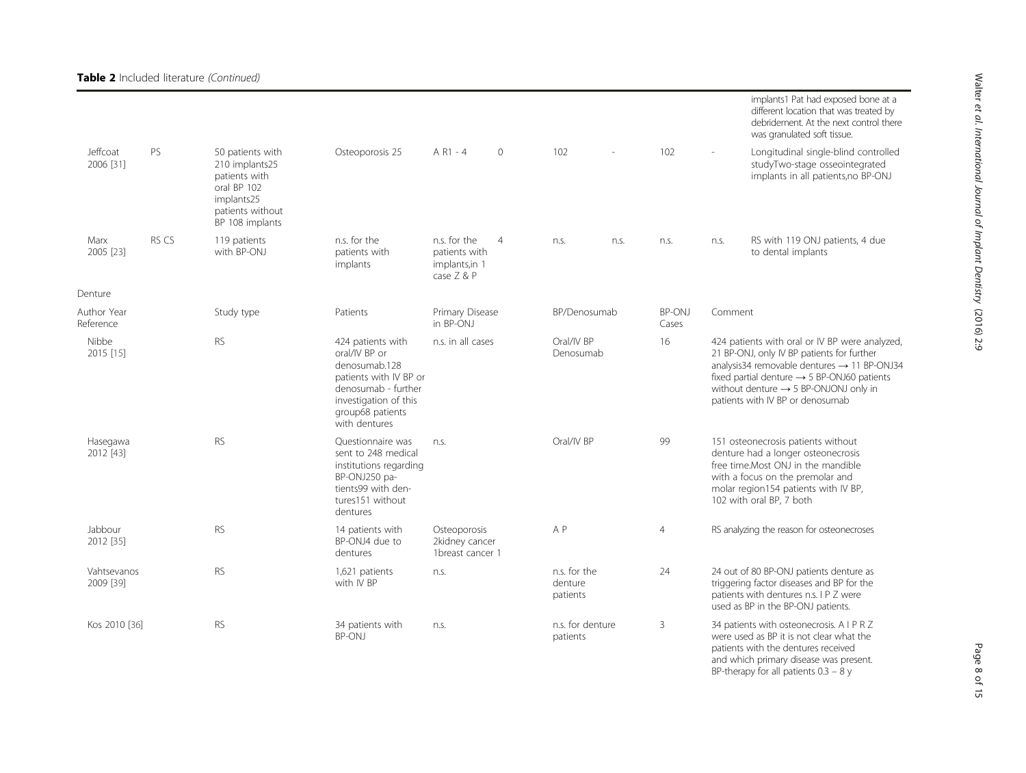|                          |           |                                                                                                                         |                                                                                                                                                                    |                                                                                |                                     |                 |         | implants1 Pat had exposed bone at a<br>different location that was treated by<br>debridement. At the next control there<br>was granulated soft tissue.                                                                                                                                          |
|--------------------------|-----------|-------------------------------------------------------------------------------------------------------------------------|--------------------------------------------------------------------------------------------------------------------------------------------------------------------|--------------------------------------------------------------------------------|-------------------------------------|-----------------|---------|-------------------------------------------------------------------------------------------------------------------------------------------------------------------------------------------------------------------------------------------------------------------------------------------------|
| Jeffcoat<br>2006 [31]    | <b>PS</b> | 50 patients with<br>210 implants25<br>patients with<br>oral BP 102<br>implants25<br>patients without<br>BP 108 implants | Osteoporosis 25                                                                                                                                                    | A R1 - 4<br>$\circ$                                                            | 102                                 | 102             |         | Longitudinal single-blind controlled<br>studyTwo-stage osseointegrated<br>implants in all patients, no BP-ONJ                                                                                                                                                                                   |
| Marx<br>2005 [23]        | RS CS     | 119 patients<br>with BP-ONJ                                                                                             | n.s. for the<br>patients with<br>implants                                                                                                                          | n.s. for the<br>$\overline{4}$<br>patients with<br>implants,in 1<br>case Z & P | n.s.                                | n.s.<br>n.s.    | n.s.    | RS with 119 ONJ patients, 4 due<br>to dental implants                                                                                                                                                                                                                                           |
| Denture                  |           |                                                                                                                         |                                                                                                                                                                    |                                                                                |                                     |                 |         |                                                                                                                                                                                                                                                                                                 |
| Author Year<br>Reference |           | Study type                                                                                                              | Patients                                                                                                                                                           | Primary Disease<br>in BP-ONJ                                                   | BP/Denosumab                        | BP-ONJ<br>Cases | Comment |                                                                                                                                                                                                                                                                                                 |
| Nibbe<br>2015 [15]       |           | RS.                                                                                                                     | 424 patients with<br>oral/IV BP or<br>denosumab.128<br>patients with IV BP or<br>denosumab - further<br>investigation of this<br>group68 patients<br>with dentures | n.s. in all cases                                                              | Oral/IV BP<br>Denosumab             | 16              |         | 424 patients with oral or IV BP were analyzed,<br>21 BP-ONJ, only IV BP patients for further<br>analysis34 removable dentures → 11 BP-ONJ34<br>fixed partial denture $\rightarrow$ 5 BP-ONJ60 patients<br>without denture $\rightarrow$ 5 BP-ONJONJ only in<br>patients with IV BP or denosumab |
| Hasegawa<br>2012 [43]    |           | RS.                                                                                                                     | Ouestionnaire was<br>sent to 248 medical<br>institutions regarding<br>BP-ONJ250 pa-<br>tients99 with den-<br>tures151 without<br>dentures                          | n.s.                                                                           | Oral/IV BP                          | 99              |         | 151 osteonecrosis patients without<br>denture had a longer osteonecrosis<br>free time.Most ONJ in the mandible<br>with a focus on the premolar and<br>molar region154 patients with IV BP,<br>102 with oral BP, 7 both                                                                          |
| Jabbour<br>2012 [35]     |           | RS.                                                                                                                     | 14 patients with<br>BP-ONJ4 due to<br>dentures                                                                                                                     | Osteoporosis<br>2kidney cancer<br>1breast cancer 1                             | A P                                 | $\overline{4}$  |         | RS analyzing the reason for osteonecroses                                                                                                                                                                                                                                                       |
| Vahtsevanos<br>2009 [39] |           | <b>RS</b>                                                                                                               | 1,621 patients<br>with IV BP                                                                                                                                       | n.s.                                                                           | n.s. for the<br>denture<br>patients | 24              |         | 24 out of 80 BP-ONJ patients denture as<br>triggering factor diseases and BP for the<br>patients with dentures n.s. I P Z were<br>used as BP in the BP-ONJ patients.                                                                                                                            |
| Kos 2010 [36]            |           | <b>RS</b>                                                                                                               | 34 patients with<br><b>BP-ONJ</b>                                                                                                                                  | n.s.                                                                           | n.s. for denture<br>patients        | 3               |         | 34 patients with osteonecrosis. A I P R Z<br>were used as BP it is not clear what the<br>patients with the dentures received                                                                                                                                                                    |

and which primary disease was present. BP-therapy for all patients 0.3 – 8 y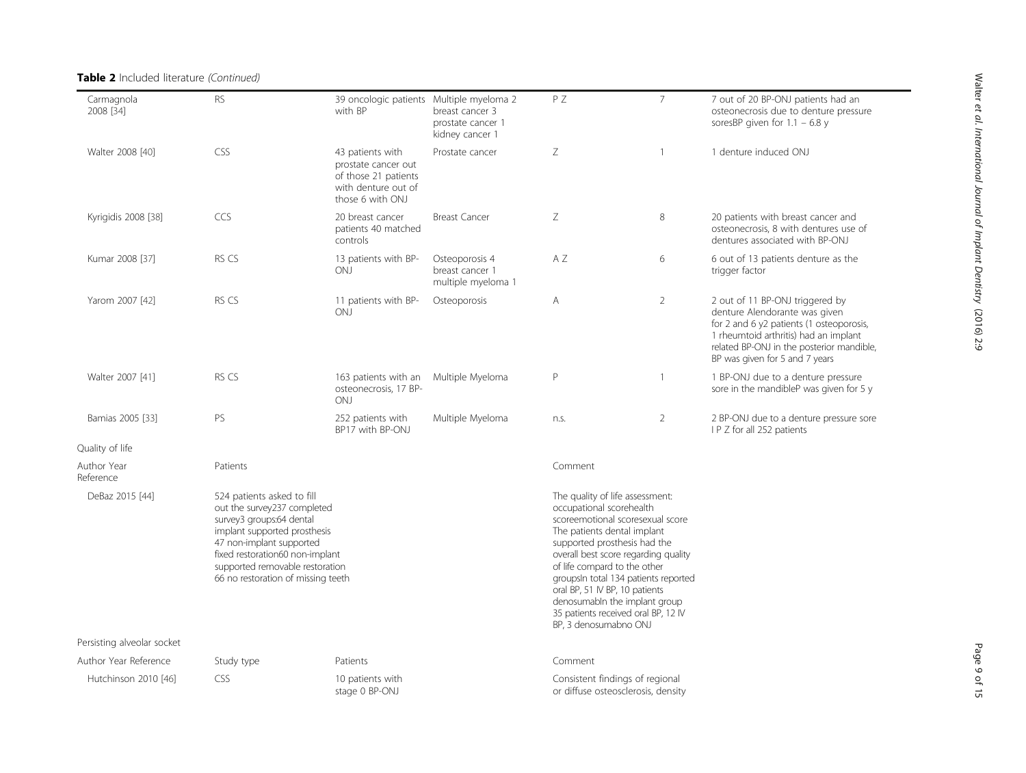| Carmagnola<br>2008 [34]    | <b>RS</b>                                                                                                                                                                                                                                                     | 39 oncologic patients Multiple myeloma 2<br>with BP                                                        | breast cancer 3<br>prostate cancer 1<br>kidney cancer 1 | PZ                                                                                                                                                                                                                                                                                                                                                                                                                | $\overline{7}$ | 7 out of 20 BP-ONJ patients had an<br>osteonecrosis due to denture pressure<br>soresBP given for $1.1 - 6.8$ y                                                                                                                       |
|----------------------------|---------------------------------------------------------------------------------------------------------------------------------------------------------------------------------------------------------------------------------------------------------------|------------------------------------------------------------------------------------------------------------|---------------------------------------------------------|-------------------------------------------------------------------------------------------------------------------------------------------------------------------------------------------------------------------------------------------------------------------------------------------------------------------------------------------------------------------------------------------------------------------|----------------|--------------------------------------------------------------------------------------------------------------------------------------------------------------------------------------------------------------------------------------|
| Walter 2008 [40]           | CSS                                                                                                                                                                                                                                                           | 43 patients with<br>prostate cancer out<br>of those 21 patients<br>with denture out of<br>those 6 with ONJ | Prostate cancer                                         | Ζ                                                                                                                                                                                                                                                                                                                                                                                                                 | $\overline{1}$ | 1 denture induced ONJ                                                                                                                                                                                                                |
| Kyrigidis 2008 [38]        | CCS                                                                                                                                                                                                                                                           | 20 breast cancer<br>patients 40 matched<br>controls                                                        | <b>Breast Cancer</b>                                    | Ζ                                                                                                                                                                                                                                                                                                                                                                                                                 | 8              | 20 patients with breast cancer and<br>osteonecrosis, 8 with dentures use of<br>dentures associated with BP-ONJ                                                                                                                       |
| Kumar 2008 [37]            | RS CS                                                                                                                                                                                                                                                         | 13 patients with BP-<br>ONJ                                                                                | Osteoporosis 4<br>breast cancer 1<br>multiple myeloma 1 | A Z                                                                                                                                                                                                                                                                                                                                                                                                               | 6              | 6 out of 13 patients denture as the<br>trigger factor                                                                                                                                                                                |
| Yarom 2007 [42]            | RS CS                                                                                                                                                                                                                                                         | 11 patients with BP-<br>ONJ                                                                                | Osteoporosis                                            | A                                                                                                                                                                                                                                                                                                                                                                                                                 | $\overline{2}$ | 2 out of 11 BP-ONJ triggered by<br>denture Alendorante was given<br>for 2 and 6 y2 patients (1 osteoporosis,<br>1 rheumtoid arthritis) had an implant<br>related BP-ONJ in the posterior mandible,<br>BP was given for 5 and 7 years |
| Walter 2007 [41]           | RS CS                                                                                                                                                                                                                                                         | 163 patients with an<br>osteonecrosis, 17 BP-<br>ONJ                                                       | Multiple Myeloma                                        | P                                                                                                                                                                                                                                                                                                                                                                                                                 | $\overline{1}$ | 1 BP-ONJ due to a denture pressure<br>sore in the mandibleP was given for 5 y                                                                                                                                                        |
| Bamias 2005 [33]           | <b>PS</b>                                                                                                                                                                                                                                                     | 252 patients with<br>BP17 with BP-ONJ                                                                      | Multiple Myeloma                                        | n.s.                                                                                                                                                                                                                                                                                                                                                                                                              | $\overline{2}$ | 2 BP-ONJ due to a denture pressure sore<br>I P Z for all 252 patients                                                                                                                                                                |
| Quality of life            |                                                                                                                                                                                                                                                               |                                                                                                            |                                                         |                                                                                                                                                                                                                                                                                                                                                                                                                   |                |                                                                                                                                                                                                                                      |
| Author Year<br>Reference   | Patients                                                                                                                                                                                                                                                      |                                                                                                            |                                                         | Comment                                                                                                                                                                                                                                                                                                                                                                                                           |                |                                                                                                                                                                                                                                      |
| DeBaz 2015 [44]            | 524 patients asked to fill<br>out the survey237 completed<br>survey3 groups:64 dental<br>implant supported prosthesis<br>47 non-implant supported<br>fixed restoration60 non-implant<br>supported removable restoration<br>66 no restoration of missing teeth |                                                                                                            |                                                         | The quality of life assessment:<br>occupational scorehealth<br>scoreemotional scoresexual score<br>The patients dental implant<br>supported prosthesis had the<br>overall best score regarding quality<br>of life compard to the other<br>groupsln total 134 patients reported<br>oral BP, 51 IV BP, 10 patients<br>denosumabln the implant group<br>35 patients received oral BP, 12 IV<br>BP, 3 denosumabno ONJ |                |                                                                                                                                                                                                                                      |
| Persisting alveolar socket |                                                                                                                                                                                                                                                               |                                                                                                            |                                                         |                                                                                                                                                                                                                                                                                                                                                                                                                   |                |                                                                                                                                                                                                                                      |
| Author Year Reference      | Study type                                                                                                                                                                                                                                                    | Patients                                                                                                   |                                                         | Comment                                                                                                                                                                                                                                                                                                                                                                                                           |                |                                                                                                                                                                                                                                      |
| Hutchinson 2010 [46]       | <b>CSS</b>                                                                                                                                                                                                                                                    | 10 patients with<br>stage 0 BP-ONJ                                                                         |                                                         | Consistent findings of regional<br>or diffuse osteosclerosis, density                                                                                                                                                                                                                                                                                                                                             |                |                                                                                                                                                                                                                                      |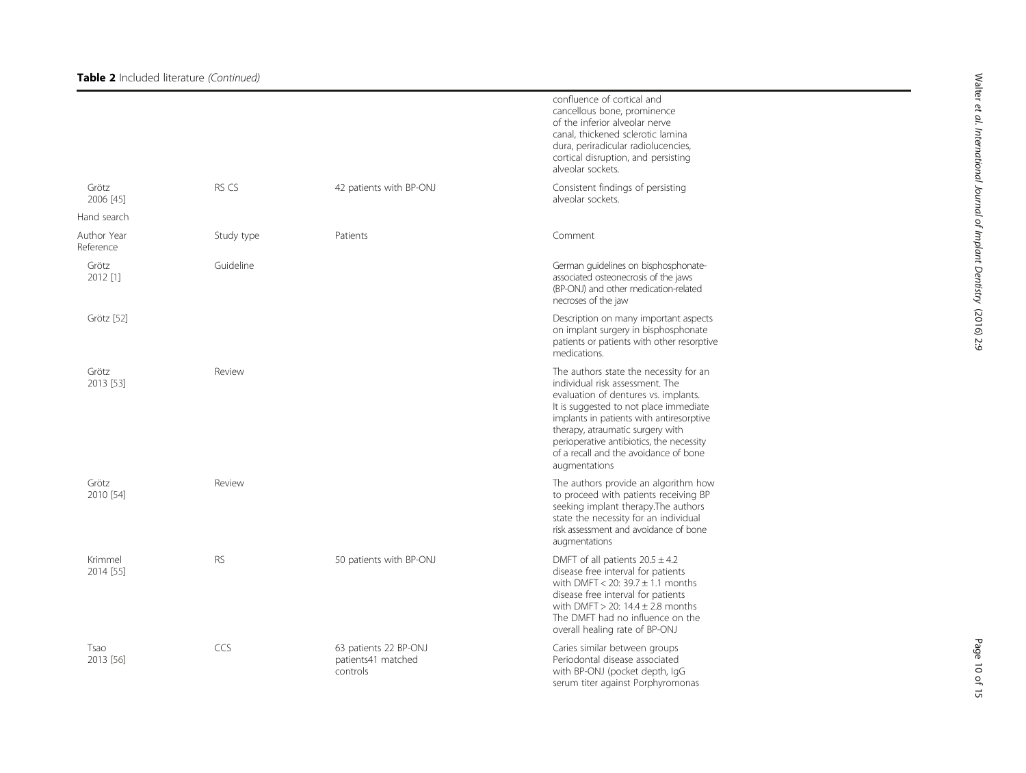|                          |            |                                                         | confluence of cortical and<br>cancellous bone, prominence<br>of the inferior alveolar nerve<br>canal, thickened sclerotic lamina<br>dura, periradicular radiolucencies,<br>cortical disruption, and persisting<br>alveolar sockets.                                                                                                               |
|--------------------------|------------|---------------------------------------------------------|---------------------------------------------------------------------------------------------------------------------------------------------------------------------------------------------------------------------------------------------------------------------------------------------------------------------------------------------------|
| Grötz<br>2006 [45]       | RS CS      | 42 patients with BP-ONJ                                 | Consistent findings of persisting<br>alveolar sockets.                                                                                                                                                                                                                                                                                            |
| Hand search              |            |                                                         |                                                                                                                                                                                                                                                                                                                                                   |
| Author Year<br>Reference | Study type | Patients                                                | Comment                                                                                                                                                                                                                                                                                                                                           |
| Grötz<br>2012 [1]        | Guideline  |                                                         | German guidelines on bisphosphonate-<br>associated osteonecrosis of the jaws<br>(BP-ONJ) and other medication-related<br>necroses of the jaw                                                                                                                                                                                                      |
| Grötz [52]               |            |                                                         | Description on many important aspects<br>on implant surgery in bisphosphonate<br>patients or patients with other resorptive<br>medications.                                                                                                                                                                                                       |
| Grötz<br>2013 [53]       | Review     |                                                         | The authors state the necessity for an<br>individual risk assessment. The<br>evaluation of dentures vs. implants.<br>It is suggested to not place immediate<br>implants in patients with antiresorptive<br>therapy, atraumatic surgery with<br>perioperative antibiotics, the necessity<br>of a recall and the avoidance of bone<br>augmentations |
| Grötz<br>2010 [54]       | Review     |                                                         | The authors provide an algorithm how<br>to proceed with patients receiving BP<br>seeking implant therapy. The authors<br>state the necessity for an individual<br>risk assessment and avoidance of bone<br>augmentations                                                                                                                          |
| Krimmel<br>2014 [55]     | <b>RS</b>  | 50 patients with BP-ONJ                                 | DMFT of all patients $20.5 \pm 4.2$<br>disease free interval for patients<br>with DMFT < 20: 39.7 $\pm$ 1.1 months<br>disease free interval for patients<br>with DMFT $>$ 20: 14.4 $\pm$ 2.8 months<br>The DMFT had no influence on the<br>overall healing rate of BP-ONJ                                                                         |
| Tsao<br>2013 [56]        | CCS        | 63 patients 22 BP-ONJ<br>patients41 matched<br>controls | Caries similar between groups<br>Periodontal disease associated<br>with BP-ONJ (pocket depth, IgG<br>serum titer against Porphyromonas                                                                                                                                                                                                            |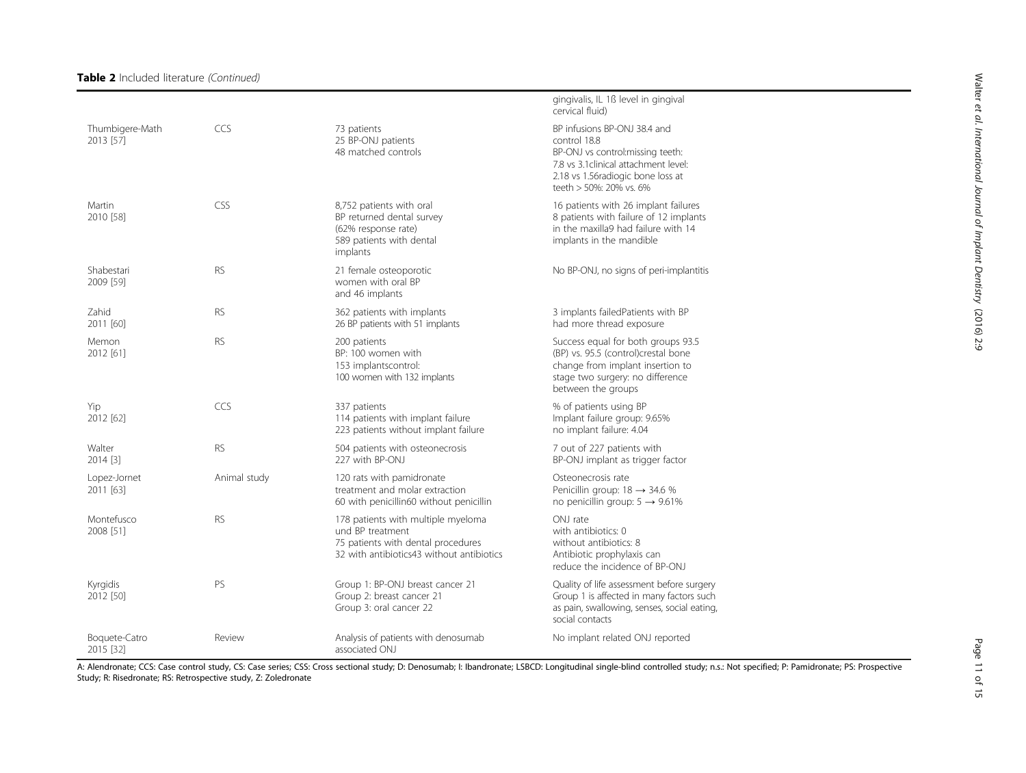|                              |              |                                                                                                                                           | gingivalis, IL 1B level in gingival<br>cervical fluid)                                                                                                                                     |
|------------------------------|--------------|-------------------------------------------------------------------------------------------------------------------------------------------|--------------------------------------------------------------------------------------------------------------------------------------------------------------------------------------------|
| Thumbigere-Math<br>2013 [57] | CCS          | 73 patients<br>25 BP-ONJ patients<br>48 matched controls                                                                                  | BP infusions BP-ONJ 38.4 and<br>control 18.8<br>BP-ONJ vs control: missing teeth:<br>7.8 vs 3.1 clinical attachment level:<br>2.18 vs 1.56radiogic bone loss at<br>teeth > 50%: 20% vs. 6% |
| Martin<br>2010 [58]          | CSS          | 8,752 patients with oral<br>BP returned dental survey<br>(62% response rate)<br>589 patients with dental<br>implants                      | 16 patients with 26 implant failures<br>8 patients with failure of 12 implants<br>in the maxilla9 had failure with 14<br>implants in the mandible                                          |
| Shabestari<br>2009 [59]      | <b>RS</b>    | 21 female osteoporotic<br>women with oral BP<br>and 46 implants                                                                           | No BP-ONJ, no signs of peri-implantitis                                                                                                                                                    |
| Zahid<br>2011 [60]           | <b>RS</b>    | 362 patients with implants<br>26 BP patients with 51 implants                                                                             | 3 implants failedPatients with BP<br>had more thread exposure                                                                                                                              |
| Memon<br>2012 [61]           | <b>RS</b>    | 200 patients<br>BP: 100 women with<br>153 implantscontrol:<br>100 women with 132 implants                                                 | Success equal for both groups 93.5<br>(BP) vs. 95.5 (control)crestal bone<br>change from implant insertion to<br>stage two surgery: no difference<br>between the groups                    |
| Yip<br>2012 [62]             | CCS          | 337 patients<br>114 patients with implant failure<br>223 patients without implant failure                                                 | % of patients using BP<br>Implant failure group: 9.65%<br>no implant failure: 4.04                                                                                                         |
| Walter<br>2014 [3]           | <b>RS</b>    | 504 patients with osteonecrosis<br>227 with BP-ONJ                                                                                        | 7 out of 227 patients with<br>BP-ONJ implant as trigger factor                                                                                                                             |
| Lopez-Jornet<br>2011 [63]    | Animal study | 120 rats with pamidronate<br>treatment and molar extraction<br>60 with penicillin60 without penicillin                                    | Osteonecrosis rate<br>Penicillin group: 18 → 34.6 %<br>no penicillin group: $5 \rightarrow 9.61\%$                                                                                         |
| Montefusco<br>2008 [51]      | <b>RS</b>    | 178 patients with multiple myeloma<br>und BP treatment<br>75 patients with dental procedures<br>32 with antibiotics43 without antibiotics | ONJ rate<br>with antibiotics: 0<br>without antibiotics: 8<br>Antibiotic prophylaxis can<br>reduce the incidence of BP-ONJ                                                                  |
| Kyrgidis<br>2012 [50]        | PS           | Group 1: BP-ONJ breast cancer 21<br>Group 2: breast cancer 21<br>Group 3: oral cancer 22                                                  | Quality of life assessment before surgery<br>Group 1 is affected in many factors such<br>as pain, swallowing, senses, social eating,<br>social contacts                                    |
| Boquete-Catro<br>2015 [32]   | Review       | Analysis of patients with denosumab<br>associated ONJ                                                                                     | No implant related ONJ reported                                                                                                                                                            |

A: Alendronate; CCS: Case control study, CS: Case series; CSS: Cross sectional study; D: Denosumab; I: Ibandronate; LSBCD: Longitudinal single-blind controlled study; n.s.: Not specified; P: Pamidronate; PS: Prospective Study; R: Risedronate; RS: Retrospective study, Z: Zoledronate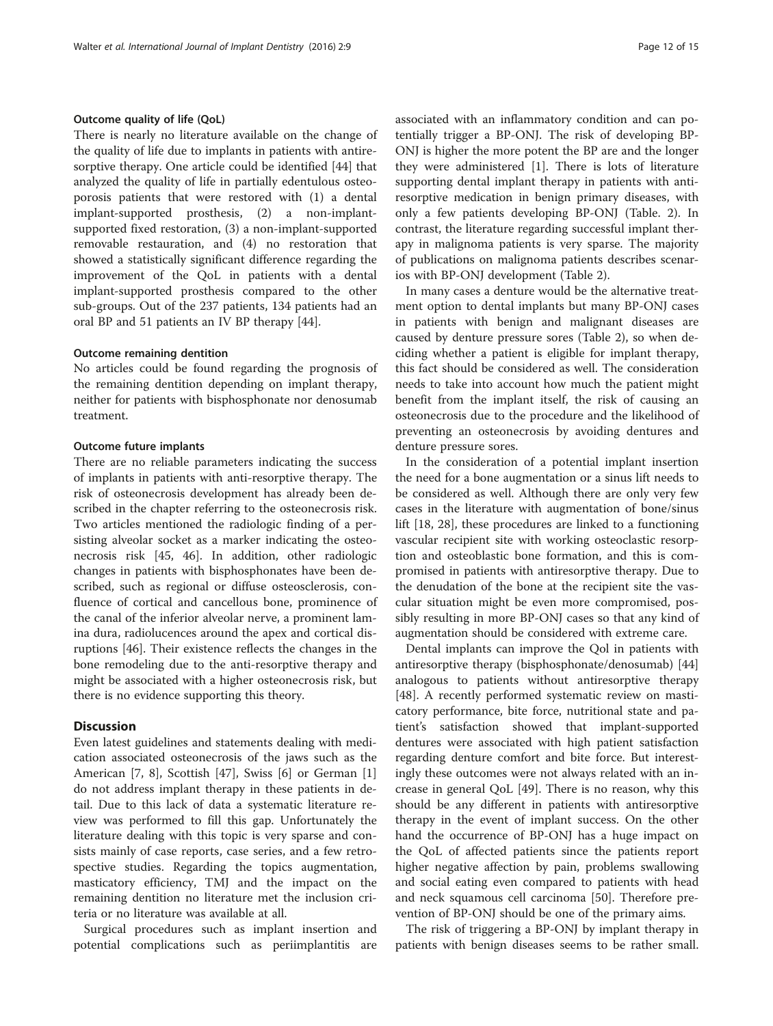# Outcome quality of life (QoL)

There is nearly no literature available on the change of the quality of life due to implants in patients with antiresorptive therapy. One article could be identified [[44](#page-13-0)] that analyzed the quality of life in partially edentulous osteoporosis patients that were restored with (1) a dental implant-supported prosthesis, (2) a non-implantsupported fixed restoration, (3) a non-implant-supported removable restauration, and (4) no restoration that showed a statistically significant difference regarding the improvement of the QoL in patients with a dental implant-supported prosthesis compared to the other sub-groups. Out of the 237 patients, 134 patients had an oral BP and 51 patients an IV BP therapy [\[44](#page-13-0)].

#### Outcome remaining dentition

No articles could be found regarding the prognosis of the remaining dentition depending on implant therapy, neither for patients with bisphosphonate nor denosumab treatment.

#### Outcome future implants

There are no reliable parameters indicating the success of implants in patients with anti-resorptive therapy. The risk of osteonecrosis development has already been described in the chapter referring to the osteonecrosis risk. Two articles mentioned the radiologic finding of a persisting alveolar socket as a marker indicating the osteonecrosis risk [[45, 46\]](#page-13-0). In addition, other radiologic changes in patients with bisphosphonates have been described, such as regional or diffuse osteosclerosis, confluence of cortical and cancellous bone, prominence of the canal of the inferior alveolar nerve, a prominent lamina dura, radiolucences around the apex and cortical disruptions [\[46](#page-13-0)]. Their existence reflects the changes in the bone remodeling due to the anti-resorptive therapy and might be associated with a higher osteonecrosis risk, but there is no evidence supporting this theory.

#### **Discussion**

Even latest guidelines and statements dealing with medication associated osteonecrosis of the jaws such as the American [[7, 8\]](#page-12-0), Scottish [[47\]](#page-13-0), Swiss [\[6](#page-12-0)] or German [\[1](#page-12-0)] do not address implant therapy in these patients in detail. Due to this lack of data a systematic literature review was performed to fill this gap. Unfortunately the literature dealing with this topic is very sparse and consists mainly of case reports, case series, and a few retrospective studies. Regarding the topics augmentation, masticatory efficiency, TMJ and the impact on the remaining dentition no literature met the inclusion criteria or no literature was available at all.

Surgical procedures such as implant insertion and potential complications such as periimplantitis are associated with an inflammatory condition and can potentially trigger a BP-ONJ. The risk of developing BP-ONJ is higher the more potent the BP are and the longer they were administered [[1](#page-12-0)]. There is lots of literature supporting dental implant therapy in patients with antiresorptive medication in benign primary diseases, with only a few patients developing BP-ONJ (Table. [2](#page-4-0)). In contrast, the literature regarding successful implant therapy in malignoma patients is very sparse. The majority of publications on malignoma patients describes scenarios with BP-ONJ development (Table [2\)](#page-4-0).

In many cases a denture would be the alternative treatment option to dental implants but many BP-ONJ cases in patients with benign and malignant diseases are caused by denture pressure sores (Table [2\)](#page-4-0), so when deciding whether a patient is eligible for implant therapy, this fact should be considered as well. The consideration needs to take into account how much the patient might benefit from the implant itself, the risk of causing an osteonecrosis due to the procedure and the likelihood of preventing an osteonecrosis by avoiding dentures and denture pressure sores.

In the consideration of a potential implant insertion the need for a bone augmentation or a sinus lift needs to be considered as well. Although there are only very few cases in the literature with augmentation of bone/sinus lift [\[18](#page-13-0), [28](#page-13-0)], these procedures are linked to a functioning vascular recipient site with working osteoclastic resorption and osteoblastic bone formation, and this is compromised in patients with antiresorptive therapy. Due to the denudation of the bone at the recipient site the vascular situation might be even more compromised, possibly resulting in more BP-ONJ cases so that any kind of augmentation should be considered with extreme care.

Dental implants can improve the Qol in patients with antiresorptive therapy (bisphosphonate/denosumab) [[44](#page-13-0)] analogous to patients without antiresorptive therapy [[48\]](#page-13-0). A recently performed systematic review on masticatory performance, bite force, nutritional state and patient's satisfaction showed that implant-supported dentures were associated with high patient satisfaction regarding denture comfort and bite force. But interestingly these outcomes were not always related with an increase in general QoL [\[49\]](#page-13-0). There is no reason, why this should be any different in patients with antiresorptive therapy in the event of implant success. On the other hand the occurrence of BP-ONJ has a huge impact on the QoL of affected patients since the patients report higher negative affection by pain, problems swallowing and social eating even compared to patients with head and neck squamous cell carcinoma [[50\]](#page-13-0). Therefore prevention of BP-ONJ should be one of the primary aims.

The risk of triggering a BP-ONJ by implant therapy in patients with benign diseases seems to be rather small.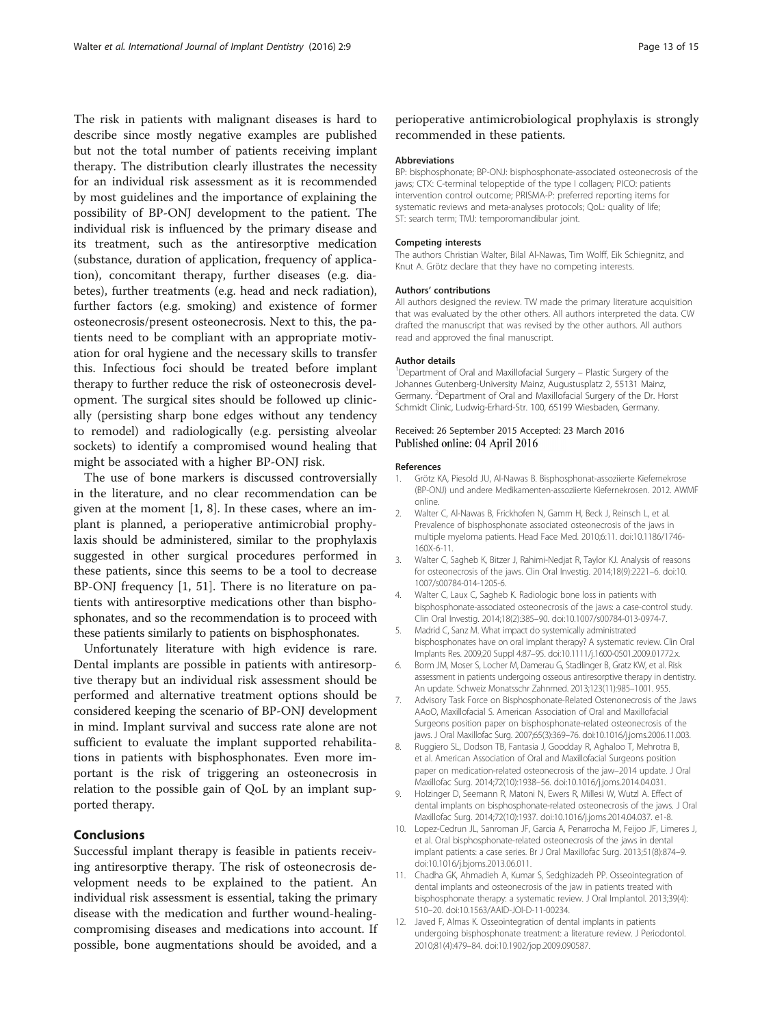<span id="page-12-0"></span>The risk in patients with malignant diseases is hard to describe since mostly negative examples are published but not the total number of patients receiving implant therapy. The distribution clearly illustrates the necessity for an individual risk assessment as it is recommended by most guidelines and the importance of explaining the possibility of BP-ONJ development to the patient. The individual risk is influenced by the primary disease and its treatment, such as the antiresorptive medication (substance, duration of application, frequency of application), concomitant therapy, further diseases (e.g. diabetes), further treatments (e.g. head and neck radiation), further factors (e.g. smoking) and existence of former osteonecrosis/present osteonecrosis. Next to this, the patients need to be compliant with an appropriate motivation for oral hygiene and the necessary skills to transfer this. Infectious foci should be treated before implant therapy to further reduce the risk of osteonecrosis development. The surgical sites should be followed up clinically (persisting sharp bone edges without any tendency to remodel) and radiologically (e.g. persisting alveolar sockets) to identify a compromised wound healing that might be associated with a higher BP-ONJ risk.

The use of bone markers is discussed controversially in the literature, and no clear recommendation can be given at the moment [1, 8]. In these cases, where an implant is planned, a perioperative antimicrobial prophylaxis should be administered, similar to the prophylaxis suggested in other surgical procedures performed in these patients, since this seems to be a tool to decrease BP-ONJ frequency [1, [51\]](#page-13-0). There is no literature on patients with antiresorptive medications other than bisphosphonates, and so the recommendation is to proceed with these patients similarly to patients on bisphosphonates.

Unfortunately literature with high evidence is rare. Dental implants are possible in patients with antiresorptive therapy but an individual risk assessment should be performed and alternative treatment options should be considered keeping the scenario of BP-ONJ development in mind. Implant survival and success rate alone are not sufficient to evaluate the implant supported rehabilitations in patients with bisphosphonates. Even more important is the risk of triggering an osteonecrosis in relation to the possible gain of QoL by an implant supported therapy.

# Conclusions

Successful implant therapy is feasible in patients receiving antiresorptive therapy. The risk of osteonecrosis development needs to be explained to the patient. An individual risk assessment is essential, taking the primary disease with the medication and further wound-healingcompromising diseases and medications into account. If possible, bone augmentations should be avoided, and a

# perioperative antimicrobiological prophylaxis is strongly recommended in these patients.

#### Abbreviations

BP: bisphosphonate; BP-ONJ: bisphosphonate-associated osteonecrosis of the jaws; CTX: C-terminal telopeptide of the type I collagen; PICO: patients intervention control outcome; PRISMA-P: preferred reporting items for systematic reviews and meta-analyses protocols; QoL: quality of life; ST: search term; TMJ: temporomandibular joint.

#### Competing interests

The authors Christian Walter, Bilal Al-Nawas, Tim Wolff, Eik Schiegnitz, and Knut A. Grötz declare that they have no competing interests.

#### Authors' contributions

All authors designed the review. TW made the primary literature acquisition that was evaluated by the other others. All authors interpreted the data. CW drafted the manuscript that was revised by the other authors. All authors read and approved the final manuscript.

#### Author details

<sup>1</sup>Department of Oral and Maxillofacial Surgery - Plastic Surgery of the Johannes Gutenberg-University Mainz, Augustusplatz 2, 55131 Mainz, Germany. <sup>2</sup>Department of Oral and Maxillofacial Surgery of the Dr. Horst Schmidt Clinic, Ludwig-Erhard-Str. 100, 65199 Wiesbaden, Germany.

#### Received: 26 September 2015 Accepted: 23 March 2016 Published online: 04 April 2016

#### References

- 1. Grötz KA, Piesold JU, Al-Nawas B. Bisphosphonat-assoziierte Kiefernekrose (BP-ONJ) und andere Medikamenten-assoziierte Kiefernekrosen. 2012. AWMF online.
- 2. Walter C, Al-Nawas B, Frickhofen N, Gamm H, Beck J, Reinsch L, et al. Prevalence of bisphosphonate associated osteonecrosis of the jaws in multiple myeloma patients. Head Face Med. 2010;6:11. doi:[10.1186/1746-](http://dx.doi.org/10.1186/1746-160X-6-11) [160X-6-11](http://dx.doi.org/10.1186/1746-160X-6-11).
- 3. Walter C, Sagheb K, Bitzer J, Rahimi-Nedjat R, Taylor KJ. Analysis of reasons for osteonecrosis of the jaws. Clin Oral Investig. 2014;18(9):2221–6. doi[:10.](http://dx.doi.org/10.1007/s00784-014-1205-6) [1007/s00784-014-1205-6](http://dx.doi.org/10.1007/s00784-014-1205-6).
- 4. Walter C, Laux C, Sagheb K. Radiologic bone loss in patients with bisphosphonate-associated osteonecrosis of the jaws: a case-control study. Clin Oral Investig. 2014;18(2):385–90. doi:[10.1007/s00784-013-0974-7](http://dx.doi.org/10.1007/s00784-013-0974-7).
- 5. Madrid C, Sanz M. What impact do systemically administrated bisphosphonates have on oral implant therapy? A systematic review. Clin Oral Implants Res. 2009;20 Suppl 4:87–95. doi[:10.1111/j.1600-0501.2009.01772.x.](http://dx.doi.org/10.1111/j.1600-0501.2009.01772.x)
- 6. Borm JM, Moser S, Locher M, Damerau G, Stadlinger B, Gratz KW, et al. Risk assessment in patients undergoing osseous antiresorptive therapy in dentistry. An update. Schweiz Monatsschr Zahnmed. 2013;123(11):985–1001. 955.
- 7. Advisory Task Force on Bisphosphonate-Related Ostenonecrosis of the Jaws AAoO, Maxillofacial S. American Association of Oral and Maxillofacial Surgeons position paper on bisphosphonate-related osteonecrosis of the jaws. J Oral Maxillofac Surg. 2007;65(3):369–76. doi:[10.1016/j.joms.2006.11.003](http://dx.doi.org/10.1016/j.joms.2006.11.003).
- 8. Ruggiero SL, Dodson TB, Fantasia J, Goodday R, Aghaloo T, Mehrotra B, et al. American Association of Oral and Maxillofacial Surgeons position paper on medication-related osteonecrosis of the jaw–2014 update. J Oral Maxillofac Surg. 2014;72(10):1938–56. doi[:10.1016/j.joms.2014.04.031.](http://dx.doi.org/10.1016/j.joms.2014.04.031)
- 9. Holzinger D, Seemann R, Matoni N, Ewers R, Millesi W, Wutzl A. Effect of dental implants on bisphosphonate-related osteonecrosis of the jaws. J Oral Maxillofac Surg. 2014;72(10):1937. doi:[10.1016/j.joms.2014.04.037.](http://dx.doi.org/10.1016/j.joms.2014.04.037) e1-8.
- 10. Lopez-Cedrun JL, Sanroman JF, Garcia A, Penarrocha M, Feijoo JF, Limeres J, et al. Oral bisphosphonate-related osteonecrosis of the jaws in dental implant patients: a case series. Br J Oral Maxillofac Surg. 2013;51(8):874–9. doi[:10.1016/j.bjoms.2013.06.011.](http://dx.doi.org/10.1016/j.bjoms.2013.06.011)
- 11. Chadha GK, Ahmadieh A, Kumar S, Sedghizadeh PP. Osseointegration of dental implants and osteonecrosis of the jaw in patients treated with bisphosphonate therapy: a systematic review. J Oral Implantol. 2013;39(4): 510–20. doi:[10.1563/AAID-JOI-D-11-00234.](http://dx.doi.org/10.1563/AAID-JOI-D-11-00234)
- 12. Javed F, Almas K. Osseointegration of dental implants in patients undergoing bisphosphonate treatment: a literature review. J Periodontol. 2010;81(4):479–84. doi:[10.1902/jop.2009.090587.](http://dx.doi.org/10.1902/jop.2009.090587)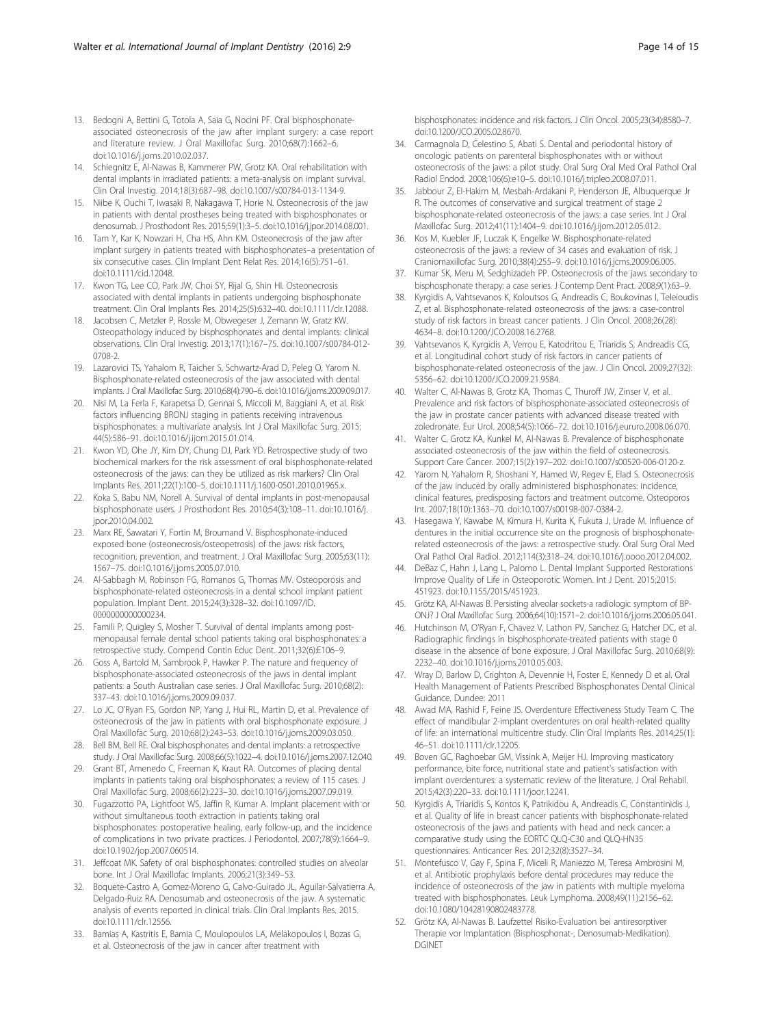- <span id="page-13-0"></span>13. Bedogni A, Bettini G, Totola A, Saia G, Nocini PF. Oral bisphosphonateassociated osteonecrosis of the jaw after implant surgery: a case report and literature review. J Oral Maxillofac Surg. 2010;68(7):1662–6. doi[:10.1016/j.joms.2010.02.037](http://dx.doi.org/10.1016/j.joms.2010.02.037).
- 14. Schiegnitz E, Al-Nawas B, Kammerer PW, Grotz KA. Oral rehabilitation with dental implants in irradiated patients: a meta-analysis on implant survival. Clin Oral Investig. 2014;18(3):687–98. doi:[10.1007/s00784-013-1134-9](http://dx.doi.org/10.1007/s00784-013-1134-9).
- 15. Niibe K, Ouchi T, Iwasaki R, Nakagawa T, Horie N. Osteonecrosis of the jaw in patients with dental prostheses being treated with bisphosphonates or denosumab. J Prosthodont Res. 2015;59(1):3–5. doi:[10.1016/j.jpor.2014.08.001.](http://dx.doi.org/10.1016/j.jpor.2014.08.001)
- 16. Tam Y, Kar K, Nowzari H, Cha HS, Ahn KM. Osteonecrosis of the jaw after implant surgery in patients treated with bisphosphonates–a presentation of six consecutive cases. Clin Implant Dent Relat Res. 2014;16(5):751–61. doi[:10.1111/cid.12048.](http://dx.doi.org/10.1111/cid.12048)
- 17. Kwon TG, Lee CO, Park JW, Choi SY, Rijal G, Shin HI. Osteonecrosis associated with dental implants in patients undergoing bisphosphonate treatment. Clin Oral Implants Res. 2014;25(5):632–40. doi[:10.1111/clr.12088](http://dx.doi.org/10.1111/clr.12088).
- 18. Jacobsen C, Metzler P, Rossle M, Obwegeser J, Zemann W, Gratz KW. Osteopathology induced by bisphosphonates and dental implants: clinical observations. Clin Oral Investig. 2013;17(1):167–75. doi:[10.1007/s00784-012-](http://dx.doi.org/10.1007/s00784-012-0708-2) [0708-2.](http://dx.doi.org/10.1007/s00784-012-0708-2)
- 19. Lazarovici TS, Yahalom R, Taicher S, Schwartz-Arad D, Peleg O, Yarom N. Bisphosphonate-related osteonecrosis of the jaw associated with dental implants. J Oral Maxillofac Surg. 2010;68(4):790–6. doi[:10.1016/j.joms.2009.09.017.](http://dx.doi.org/10.1016/j.joms.2009.09.017)
- 20. Nisi M, La Ferla F, Karapetsa D, Gennai S, Miccoli M, Baggiani A, et al. Risk factors influencing BRONJ staging in patients receiving intravenous bisphosphonates: a multivariate analysis. Int J Oral Maxillofac Surg. 2015; 44(5):586–91. doi[:10.1016/j.ijom.2015.01.014.](http://dx.doi.org/10.1016/j.ijom.2015.01.014)
- 21. Kwon YD, Ohe JY, Kim DY, Chung DJ, Park YD. Retrospective study of two biochemical markers for the risk assessment of oral bisphosphonate-related osteonecrosis of the jaws: can they be utilized as risk markers? Clin Oral Implants Res. 2011;22(1):100–5. doi:[10.1111/j.1600-0501.2010.01965.x](http://dx.doi.org/10.1111/j.1600-0501.2010.01965.x).
- 22. Koka S, Babu NM, Norell A. Survival of dental implants in post-menopausal bisphosphonate users. J Prosthodont Res. 2010;54(3):108–11. doi:[10.1016/j.](http://dx.doi.org/10.1016/j.jpor.2010.04.002) [jpor.2010.04.002](http://dx.doi.org/10.1016/j.jpor.2010.04.002).
- 23. Marx RE, Sawatari Y, Fortin M, Broumand V. Bisphosphonate-induced exposed bone (osteonecrosis/osteopetrosis) of the jaws: risk factors, recognition, prevention, and treatment. J Oral Maxillofac Surg. 2005;63(11): 1567–75. doi[:10.1016/j.joms.2005.07.010](http://dx.doi.org/10.1016/j.joms.2005.07.010).
- 24. Al-Sabbagh M, Robinson FG, Romanos G, Thomas MV. Osteoporosis and bisphosphonate-related osteonecrosis in a dental school implant patient population. Implant Dent. 2015;24(3):328–32. doi[:10.1097/ID.](http://dx.doi.org/10.1097/ID.0000000000000234) [0000000000000234](http://dx.doi.org/10.1097/ID.0000000000000234).
- 25. Famili P, Quigley S, Mosher T. Survival of dental implants among postmenopausal female dental school patients taking oral bisphosphonates: a retrospective study. Compend Contin Educ Dent. 2011;32(6):E106–9.
- 26. Goss A, Bartold M, Sambrook P, Hawker P. The nature and frequency of bisphosphonate-associated osteonecrosis of the jaws in dental implant patients: a South Australian case series. J Oral Maxillofac Surg. 2010;68(2): 337–43. doi:[10.1016/j.joms.2009.09.037.](http://dx.doi.org/10.1016/j.joms.2009.09.037)
- 27. Lo JC, O'Ryan FS, Gordon NP, Yang J, Hui RL, Martin D, et al. Prevalence of osteonecrosis of the jaw in patients with oral bisphosphonate exposure. J Oral Maxillofac Surg. 2010;68(2):243–53. doi[:10.1016/j.joms.2009.03.050.](http://dx.doi.org/10.1016/j.joms.2009.03.050)
- Bell BM, Bell RE. Oral bisphosphonates and dental implants: a retrospective study. J Oral Maxillofac Surg. 2008;66(5):1022–4. doi:[10.1016/j.joms.2007.12.040](http://dx.doi.org/10.1016/j.joms.2007.12.040).
- 29. Grant BT, Amenedo C, Freeman K, Kraut RA. Outcomes of placing dental implants in patients taking oral bisphosphonates: a review of 115 cases. J Oral Maxillofac Surg. 2008;66(2):223–30. doi[:10.1016/j.joms.2007.09.019.](http://dx.doi.org/10.1016/j.joms.2007.09.019)
- 30. Fugazzotto PA, Lightfoot WS, Jaffin R, Kumar A. Implant placement with or without simultaneous tooth extraction in patients taking oral bisphosphonates: postoperative healing, early follow-up, and the incidence of complications in two private practices. J Periodontol. 2007;78(9):1664–9. doi[:10.1902/jop.2007.060514.](http://dx.doi.org/10.1902/jop.2007.060514)
- 31. Jeffcoat MK. Safety of oral bisphosphonates: controlled studies on alveolar bone. Int J Oral Maxillofac Implants. 2006;21(3):349–53.
- 32. Boquete-Castro A, Gomez-Moreno G, Calvo-Guirado JL, Aguilar-Salvatierra A, Delgado-Ruiz RA. Denosumab and osteonecrosis of the jaw. A systematic analysis of events reported in clinical trials. Clin Oral Implants Res. 2015. doi[:10.1111/clr.12556.](http://dx.doi.org/10.1111/clr.12556)
- 33. Bamias A, Kastritis E, Bamia C, Moulopoulos LA, Melakopoulos I, Bozas G, et al. Osteonecrosis of the jaw in cancer after treatment with

bisphosphonates: incidence and risk factors. J Clin Oncol. 2005;23(34):8580–7. doi:[10.1200/JCO.2005.02.8670.](http://dx.doi.org/10.1200/JCO.2005.02.8670)

- 34. Carmagnola D, Celestino S, Abati S. Dental and periodontal history of oncologic patients on parenteral bisphosphonates with or without osteonecrosis of the jaws: a pilot study. Oral Surg Oral Med Oral Pathol Oral Radiol Endod. 2008;106(6):e10–5. doi[:10.1016/j.tripleo.2008.07.011.](http://dx.doi.org/10.1016/j.tripleo.2008.07.011)
- 35. Jabbour Z, El-Hakim M, Mesbah-Ardakani P, Henderson JE, Albuquerque Jr R. The outcomes of conservative and surgical treatment of stage 2 bisphosphonate-related osteonecrosis of the jaws: a case series. Int J Oral Maxillofac Surg. 2012;41(11):1404–9. doi:[10.1016/j.ijom.2012.05.012](http://dx.doi.org/10.1016/j.ijom.2012.05.012).
- 36. Kos M, Kuebler JF, Luczak K, Engelke W. Bisphosphonate-related osteonecrosis of the jaws: a review of 34 cases and evaluation of risk. J Craniomaxillofac Surg. 2010;38(4):255–9. doi:[10.1016/j.jcms.2009.06.005.](http://dx.doi.org/10.1016/j.jcms.2009.06.005)
- 37. Kumar SK, Meru M, Sedghizadeh PP. Osteonecrosis of the jaws secondary to bisphosphonate therapy: a case series. J Contemp Dent Pract. 2008;9(1):63–9.
- 38. Kyrgidis A, Vahtsevanos K, Koloutsos G, Andreadis C, Boukovinas I, Teleioudis Z, et al. Bisphosphonate-related osteonecrosis of the jaws: a case-control study of risk factors in breast cancer patients. J Clin Oncol. 2008;26(28): 4634–8. doi:[10.1200/JCO.2008.16.2768.](http://dx.doi.org/10.1200/JCO.2008.16.2768)
- 39. Vahtsevanos K, Kyrgidis A, Verrou E, Katodritou E, Triaridis S, Andreadis CG, et al. Longitudinal cohort study of risk factors in cancer patients of bisphosphonate-related osteonecrosis of the jaw. J Clin Oncol. 2009;27(32): 5356–62. doi[:10.1200/JCO.2009.21.9584](http://dx.doi.org/10.1200/JCO.2009.21.9584).
- 40. Walter C, Al-Nawas B, Grotz KA, Thomas C, Thuroff JW, Zinser V, et al. Prevalence and risk factors of bisphosphonate-associated osteonecrosis of the jaw in prostate cancer patients with advanced disease treated with zoledronate. Eur Urol. 2008;54(5):1066–72. doi:[10.1016/j.eururo.2008.06.070.](http://dx.doi.org/10.1016/j.eururo.2008.06.070)
- 41. Walter C, Grotz KA, Kunkel M, Al-Nawas B. Prevalence of bisphosphonate associated osteonecrosis of the jaw within the field of osteonecrosis. Support Care Cancer. 2007;15(2):197–202. doi:[10.1007/s00520-006-0120-z.](http://dx.doi.org/10.1007/s00520-006-0120-z)
- 42. Yarom N, Yahalom R, Shoshani Y, Hamed W, Regev E, Elad S. Osteonecrosis of the jaw induced by orally administered bisphosphonates: incidence, clinical features, predisposing factors and treatment outcome. Osteoporos Int. 2007;18(10):1363–70. doi[:10.1007/s00198-007-0384-2.](http://dx.doi.org/10.1007/s00198-007-0384-2)
- 43. Hasegawa Y, Kawabe M, Kimura H, Kurita K, Fukuta J, Urade M. Influence of dentures in the initial occurrence site on the prognosis of bisphosphonaterelated osteonecrosis of the jaws: a retrospective study. Oral Surg Oral Med Oral Pathol Oral Radiol. 2012;114(3):318–24. doi[:10.1016/j.oooo.2012.04.002.](http://dx.doi.org/10.1016/j.oooo.2012.04.002)
- 44. DeBaz C, Hahn J, Lang L, Palomo L. Dental Implant Supported Restorations Improve Quality of Life in Osteoporotic Women. Int J Dent. 2015;2015: 451923. doi:[10.1155/2015/451923.](http://dx.doi.org/10.1155/2015/451923)
- 45. Grötz KA, Al-Nawas B. Persisting alveolar sockets-a radiologic symptom of BP-ONJ? J Oral Maxillofac Surg. 2006;64(10):1571–2. doi[:10.1016/j.joms.2006.05.041](http://dx.doi.org/10.1016/j.joms.2006.05.041).
- 46. Hutchinson M, O'Ryan F, Chavez V, Lathon PV, Sanchez G, Hatcher DC, et al. Radiographic findings in bisphosphonate-treated patients with stage 0 disease in the absence of bone exposure. J Oral Maxillofac Surg. 2010;68(9): 2232–40. doi[:10.1016/j.joms.2010.05.003](http://dx.doi.org/10.1016/j.joms.2010.05.003).
- 47. Wray D, Barlow D, Crighton A, Devennie H, Foster E, Kennedy D et al. Oral Health Management of Patients Prescribed Bisphosphonates Dental Clinical Guidance. Dundee: 2011
- 48. Awad MA, Rashid F, Feine JS. Overdenture Effectiveness Study Team C. The effect of mandibular 2-implant overdentures on oral health-related quality of life: an international multicentre study. Clin Oral Implants Res. 2014;25(1): 46–51. doi:[10.1111/clr.12205.](http://dx.doi.org/10.1111/clr.12205)
- 49. Boven GC, Raghoebar GM, Vissink A, Meijer HJ. Improving masticatory performance, bite force, nutritional state and patient's satisfaction with implant overdentures: a systematic review of the literature. J Oral Rehabil. 2015;42(3):220–33. doi:[10.1111/joor.12241](http://dx.doi.org/10.1111/joor.12241).
- 50. Kyrgidis A, Triaridis S, Kontos K, Patrikidou A, Andreadis C, Constantinidis J, et al. Quality of life in breast cancer patients with bisphosphonate-related osteonecrosis of the jaws and patients with head and neck cancer: a comparative study using the EORTC QLQ-C30 and QLQ-HN35 questionnaires. Anticancer Res. 2012;32(8):3527–34.
- 51. Montefusco V, Gay F, Spina F, Miceli R, Maniezzo M, Teresa Ambrosini M, et al. Antibiotic prophylaxis before dental procedures may reduce the incidence of osteonecrosis of the jaw in patients with multiple myeloma treated with bisphosphonates. Leuk Lymphoma. 2008;49(11):2156–62. doi[:10.1080/10428190802483778](http://dx.doi.org/10.1080/10428190802483778).
- 52. Grötz KA, Al-Nawas B. Laufzettel Risiko-Evaluation bei antiresorptiver Therapie vor Implantation (Bisphosphonat-, Denosumab-Medikation). DGINET